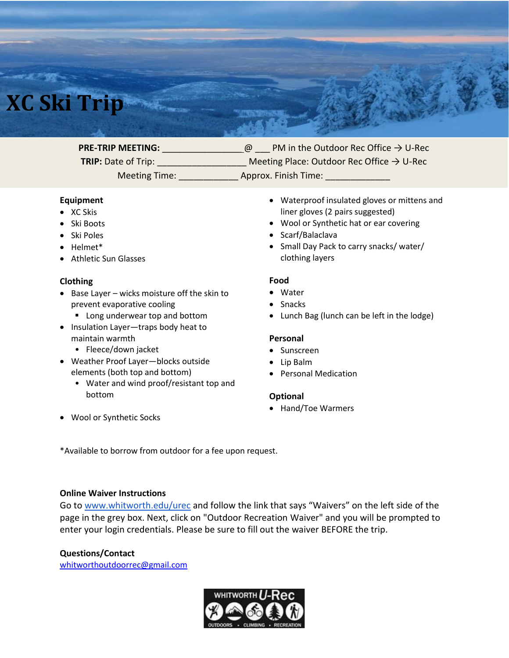# **XC Ski Trip**

**PRE-TRIP MEETING:** \_\_\_\_\_\_\_\_\_\_\_\_\_\_\_\_\_\_@ PM in the Outdoor Rec Office → U-Rec

**TRIP:** Date of Trip: \_\_\_\_\_\_\_\_\_\_\_\_\_\_\_\_\_\_ Meeting Place: Outdoor Rec Office → U-Rec Meeting Time: \_\_\_\_\_\_\_\_\_\_\_\_ Approx. Finish Time: \_\_\_\_\_\_\_\_\_\_\_\_\_

#### **Equipment**

- XC Skis
- Ski Boots
- Ski Poles
- Helmet\*
- Athletic Sun Glasses

## **Clothing**

- Base Layer wicks moisture off the skin to prevent evaporative cooling
	- Long underwear top and bottom
- Insulation Layer—traps body heat to maintain warmth
	- Fleece/down jacket
- Weather Proof Layer—blocks outside elements (both top and bottom)
	- Water and wind proof/resistant top and bottom
- Waterproof insulated gloves or mittens and liner gloves (2 pairs suggested)
- Wool or Synthetic hat or ear covering
- Scarf/Balaclava
- Small Day Pack to carry snacks/ water/ clothing layers

#### **Food**

- Water
- Snacks
- Lunch Bag (lunch can be left in the lodge)

### **Personal**

- Sunscreen
- Lip Balm
- Personal Medication

#### **Optional**

• Hand/Toe Warmers

• Wool or Synthetic Socks

\*Available to borrow from outdoor for a fee upon request.

#### **Online Waiver Instructions**

Go to [www.whitworth.edu/urec](http://www.whitworth.edu/urec) and follow the link that says "Waivers" on the left side of the page in the grey box. Next, click on "Outdoor Recreation Waiver" and you will be prompted to enter your login credentials. Please be sure to fill out the waiver BEFORE the trip.

## **Questions/Contact**

[whitworthoutdoorrec@gmail.com](mailto:whitworthoutdoorrec@gmail.com)